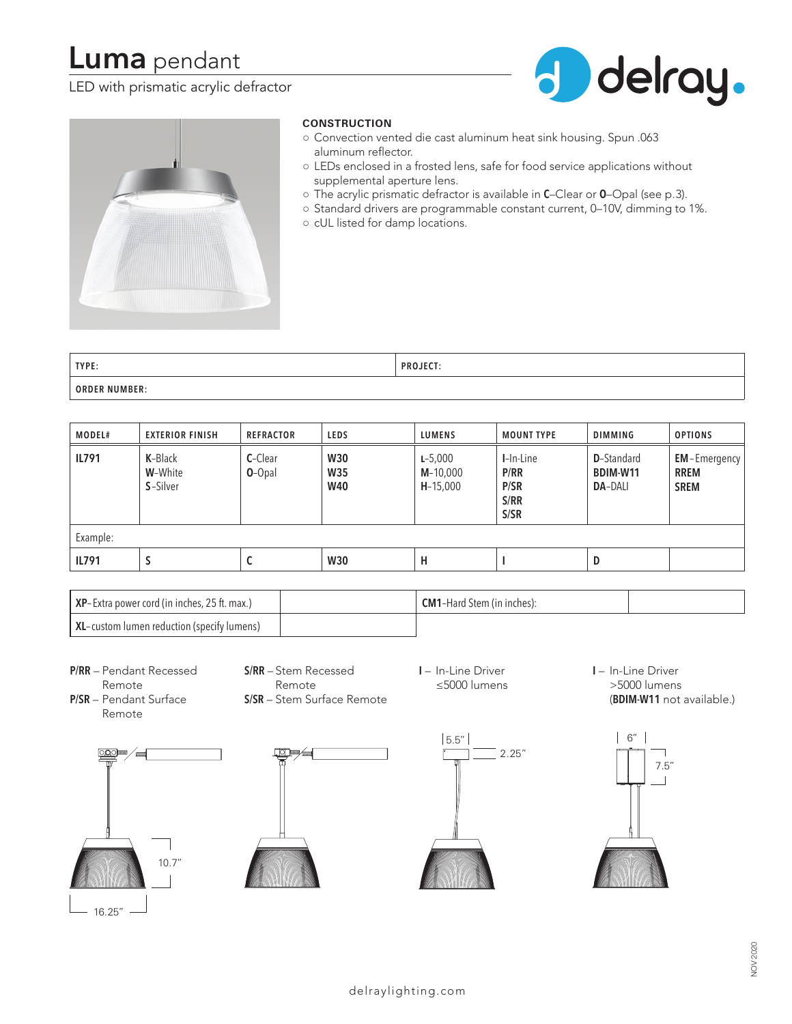# **Luma** pendant

# LED with prismatic acrylic defractor





## **CONSTRUCTION**

- Convection vented die cast aluminum heat sink housing. Spun .063 aluminum reflector.
- LEDs enclosed in a frosted lens, safe for food service applications without supplemental aperture lens.
- The acrylic prismatic defractor is available in **C**–Clear or **O**–Opal (see p.3).
- Standard drivers are programmable constant current, 0–10V, dimming to 1%.
- cUL listed for damp locations.

| TYPE:                | PROJECT: |
|----------------------|----------|
| <b>ORDER NUMBER:</b> |          |

| MODEL#       | <b>EXTERIOR FINISH</b>         | <b>REFRACTOR</b>    | <b>LEDS</b>                            | <b>LUMENS</b>                           | <b>MOUNT TYPE</b>                         | <b>DIMMING</b>                                   | <b>OPTIONS</b>                                    |
|--------------|--------------------------------|---------------------|----------------------------------------|-----------------------------------------|-------------------------------------------|--------------------------------------------------|---------------------------------------------------|
| <b>IL791</b> | K-Black<br>W-White<br>S-Silver | C-Clear<br>$O-Opal$ | <b>W30</b><br><b>W35</b><br><b>W40</b> | $L - 5,000$<br>$M-10,000$<br>$H-15,000$ | I-In-Line<br>P/RR<br>P/SR<br>S/RR<br>S/SR | <b>D</b> -Standard<br>BDIM-W11<br><b>DA-DALI</b> | <b>EM-Emergency</b><br><b>RREM</b><br><b>SREM</b> |
| Example:     |                                |                     |                                        |                                         |                                           |                                                  |                                                   |
| <b>IL791</b> | C                              | ◡                   | <b>W30</b>                             | н                                       |                                           | D                                                |                                                   |

| <b>XP</b> -Extra power cord (in inches, 25 ft. max.) | <b>CM1-Hard Stem (in inches):</b> |  |
|------------------------------------------------------|-----------------------------------|--|
| XL-custom lumen reduction (specify lumens)           |                                   |  |

**P/RR** – Pendant Recessed Remote **P/SR** – Pendant Surface

Remote

**S/RR** – Stem Recessed Remote **S/SR** – Stem Surface Remote **I** – In-Line Driver ≤5000 lumens **I** – In-Line Driver >5000 lumens (**BDIM-W11** not available.)







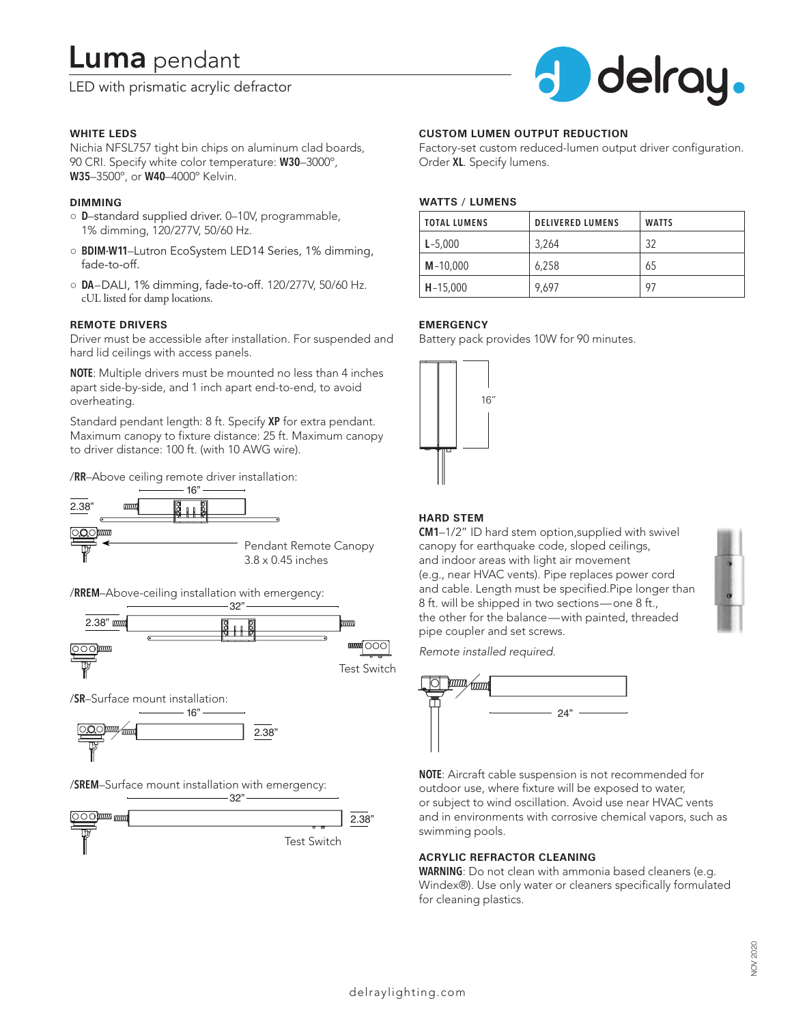# **Luma** pendant

LED with prismatic acrylic defractor



#### **WHITE LEDS**

Nichia NFSL757 tight bin chips on aluminum clad boards, 90 CRI. Specify white color temperature: **W30**–3000º, **W35**–3500º, or **W40**–4000º Kelvin.

### **DIMMING**

- **D**–standard supplied driver. 0–10V, programmable, 1% dimming, 120/277V, 50/60 Hz.
- **BDIM-W11**–Lutron EcoSystem LED14 Series, 1% dimming, fade-to-off.
- **DA**–DALI, 1% dimming, fade-to-off. 120/277V, 50/60 Hz. cUL listed for damp locations.

#### **REMOTE DRIVERS**

Driver must be accessible after installation. For suspended and hard lid ceilings with access panels.

**NOTE**: Multiple drivers must be mounted no less than 4 inches apart side-by-side, and 1 inch apart end-to-end, to avoid overheating.

Standard pendant length: 8 ft. Specify **XP** for extra pendant. Maximum canopy to fixture distance: 25 ft. Maximum canopy to driver distance: 100 ft. (with 10 AWG wire).

/**RR**–Above ceiling remote driver installation:



/**RREM**–Above-ceiling installation with emergency:



/**SR**–Surface mount installation:



/**SREM**–Surface mount installation with emergency:



#### **CUSTOM LUMEN OUTPUT REDUCTION**

Factory-set custom reduced-lumen output driver configuration. Order **XL**. Specify lumens.

#### **WATTS / LUMENS**

| <b>TOTAL LUMENS</b> | <b>DELIVERED LUMENS</b> | <b>WATTS</b> |
|---------------------|-------------------------|--------------|
| $L - 5,000$         | 3.264                   | 32           |
| $M - 10,000$        | 6,258                   | 65           |
| $H - 15,000$        | 9.697                   | 97           |

#### **EMERGENCY**

Battery pack provides 10W for 90 minutes.



## **HARD STEM**

**CM1**–1/2" ID hard stem option,supplied with swivel canopy for earthquake code, sloped ceilings, and indoor areas with light air movement (e.g., near HVAC vents). Pipe replaces power cord and cable. Length must be specified.Pipe longer than 8 ft. will be shipped in two sections—one 8 ft., the other for the balance—with painted, threaded pipe coupler and set screws.

*Remote installed required.*



**NOTE**: Aircraft cable suspension is not recommended for outdoor use, where fixture will be exposed to water, or subject to wind oscillation. Avoid use near HVAC vents and in environments with corrosive chemical vapors, such as swimming pools.

### **ACRYLIC REFRACTOR CLEANING**

**WARNING**: Do not clean with ammonia based cleaners (e.g. Windex®). Use only water or cleaners specifically formulated for cleaning plastics.